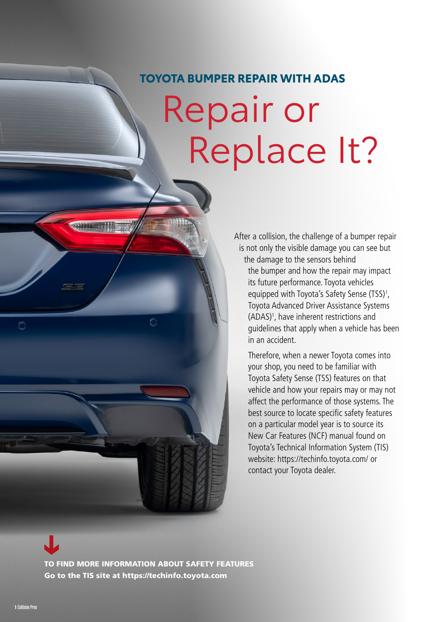## **TOYOTA BUMPER REPAIR WITH ADAS**

# Repair or Replace It?

After a collision, the challenge of a bumper repair is not only the visible damage you can see but the damage to the sensors behind

the bumper and how the repair may impact its future performance. Toyota vehicles equipped with Toyota's Safety Sense (TSS)<sup>1</sup>, Toyota Advanced Driver Assistance Systems (ADAS)1 , have inherent restrictions and guidelines that apply when a vehicle has been in an accident.

Therefore, when a newer Toyota comes into your shop, you need to be familiar with Toyota Safety Sense (TSS) features on that vehicle and how your repairs may or may not affect the performance of those systems. The best source to locate specific safety features on a particular model year is to source its New Car Features (NCF) manual found on Toyota's Technical Information System (TIS) website: https://techinfo.toyota.com/ or contact your Toyota dealer.

[TO FIND MORE INFORMATION ABOUT SAFETY FEATURES](https://techinfo.toyota.com)  Go to the TIS site at https://techinfo.toyota.com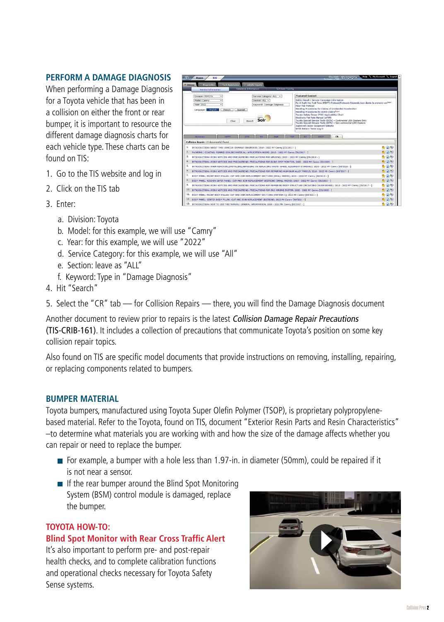### **PERFORM A DAMAGE DIAGNOSIS**

When performing a Damage Diagnosis for a Toyota vehicle that has been in a collision on either the front or rear bumper, it is important to resource the different damage diagnosis charts for each vehicle type. These charts can be found on TIS:

- 1. Go to the TIS website and log in
- 2. Click on the TIS tab
- 3. Enter:
	- a. Division: Toyota
- Service Category: ALL v Safety Recall / Service<br>Fix It Right the First Tim<br>Floor Mat Protocol Model: Camry Section: ALL v xion: ALL V<br>rword: Damage Diagnosis Year: 2022 **The French Spanish** Clear Search Solr ce Tools (SSTs) « Conti<br>ce Tools (SSTs) « Non-o  $\int$  arg SC ACCY CR (s) found. 1km<br>1km<br>1km AINTING / COATING: FOAMED SEALING MATERIAL: APPLICATION AREAS; 2018 - 2022 MY Camry (06/2017 - ] WORK NOTICES AND PRECAUTIONS: PRECAUTIONS FOR WELDING; 2020 - 2022 MY Camry [09/2019 -は関係の<br>食用の<br>食用の  $\mathfrak{q}_i$ -<br>TRODUCTION: WORK NOTICES AND PRECAUTIONS: PRECAUTIONS FOR BLIND SPOT MONITOR; 2020 - 2022 MY Camry (03/2020 - ) N: WHEN REMO 5. INTRODUCTION: WHEN REMOVING,INSTALLING,REPAIRING OR REPLACING PARTS: WHEEL ALIGNMENT STANDARD; 2020 - 2022 MY Camry [03/2020 - ]<br>6. INTRODUCTION: WORK NOTICES AND PRECAUTIONS: PRECAUTIONS FOR REPAIRING ALUMINUM ALLOY PA .<br>IEL: FRONT BODY PILLAR: CUT AND JOIN REPLACEMENT SECTIONS (SMALL AREAS): 2020 - 2022 MY Car  $+100$ 8- BOOY PANEL: ROCKER OUTER PANEL: CUT AND JOIN REPLACEMENT SECTIONS (SMALL AREAS); 2019 - 2022 MY Camry [08/2018 - ] 蘭島 9. INTRODUCTION: WORK NOTICES AND PRECAUTIONS: PRECAUTIONS FOR REPAIRING BODY STRUCTURE (INCLUDING CRUSH BOXES);<br>10. INTRODUCTION: WORK NOTICES AND PRECAUTIONS: PRECAUTIONS FOR SRS AIRBAG SYSTEM; 2020 - 2022 MY Camry [03/2 BODY PANELI FRONT BODY PILLARI: CUT AND JOIN REPLACEMENT SECTIONS (PATTERN 1); 2022 RY Camry (08/20<br>BODY PANELI: CENTER BODY PILLARI: CUT AND JOIN REPLACEMENT SECTIONS; 2022 MY Camry [08/2021 - ] 13. INTRODUCTION: HOW TO USE THIS MANUAL: GENERAL IMPORMATION; 2018 - 2022 MY Camry [03/2017 - ]
- b. Model: for this example, we will use "Camry"
- c. Year: for this example, we will use "2022"
- d. Service Category: for this example, we will use "All"
- e. Section: leave as "ALL"
- f. Keyword: Type in "Damage Diagnosis"
- 4. Hit "Search"

5. Select the "CR" tab — for Collision Repairs — there, you will find the Damage Diagnosis document

Another document to review prior to repairs is the latest Collision Damage Repair Precautions (TIS-CRIB-161). It includes a collection of precautions that communicate Toyota's position on some key collision repair topics.

Also found on TIS are specific model documents that provide instructions on removing, installing, repairing, or replacing components related to bumpers.

#### **BUMPER MATERIAL**

Toyota bumpers, manufactured using Toyota Super Olefin Polymer (TSOP), is proprietary polypropylenebased material. Refer to the Toyota, found on TIS, document "Exterior Resin Parts and Resin Characteristics" –to determine what materials you are working with and how the size of the damage affects whether you can repair or need to replace the bumper.

- For example, a bumper with a hole less than 1.97-in. in diameter (50mm), could be repaired if it is not near a sensor.
- $\blacksquare$  If the rear bumper around the Blind Spot Monitoring System (BSM) control module is damaged, replace the bumper.

#### **TOYOTA HOW-TO:**

#### **[Blind Spot Monitor with Rear Cross Traffic Alert](https://player.vimeo.com/video/720065678?h=148a7ece06&badge=0&autopause=0&player_id=0&app_id=58479)**

It's also important to perform pre- and post-repair health checks, and to complete calibration functions and operational checks necessary for Toyota Safety Sense systems.

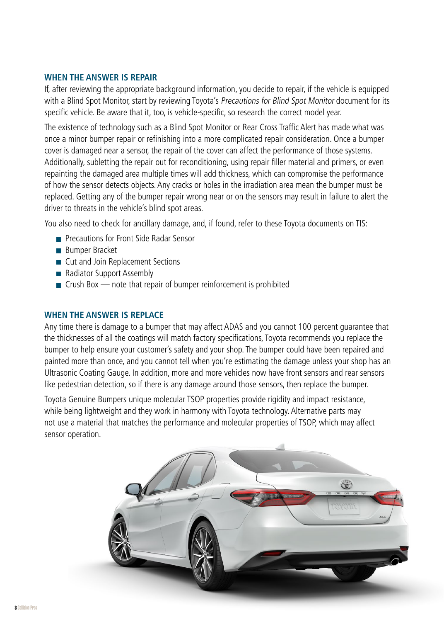#### **WHEN THE ANSWER IS REPAIR**

If, after reviewing the appropriate background information, you decide to repair, if the vehicle is equipped with a Blind Spot Monitor, start by reviewing Toyota's Precautions for Blind Spot Monitor document for its specific vehicle. Be aware that it, too, is vehicle-specific, so research the correct model year.

The existence of technology such as a Blind Spot Monitor or Rear Cross Traffic Alert has made what was once a minor bumper repair or refinishing into a more complicated repair consideration. Once a bumper cover is damaged near a sensor, the repair of the cover can affect the performance of those systems. Additionally, subletting the repair out for reconditioning, using repair filler material and primers, or even repainting the damaged area multiple times will add thickness, which can compromise the performance of how the sensor detects objects. Any cracks or holes in the irradiation area mean the bumper must be replaced. Getting any of the bumper repair wrong near or on the sensors may result in failure to alert the driver to threats in the vehicle's blind spot areas.

You also need to check for ancillary damage, and, if found, refer to these Toyota documents on TIS:

- **Precautions for Front Side Radar Sensor**
- **Bumper Bracket**
- Cut and Join Replacement Sections
- Radiator Support Assembly
- $\blacksquare$  Crush Box note that repair of bumper reinforcement is prohibited

#### **WHEN THE ANSWER IS REPLACE**

Any time there is damage to a bumper that may affect ADAS and you cannot 100 percent guarantee that the thicknesses of all the coatings will match factory specifications, Toyota recommends you replace the bumper to help ensure your customer's safety and your shop. The bumper could have been repaired and painted more than once, and you cannot tell when you're estimating the damage unless your shop has an Ultrasonic Coating Gauge. In addition, more and more vehicles now have front sensors and rear sensors like pedestrian detection, so if there is any damage around those sensors, then replace the bumper.

Toyota Genuine Bumpers unique molecular TSOP properties provide rigidity and impact resistance, while being lightweight and they work in harmony with Toyota technology. Alternative parts may not use a material that matches the performance and molecular properties of TSOP, which may affect sensor operation.